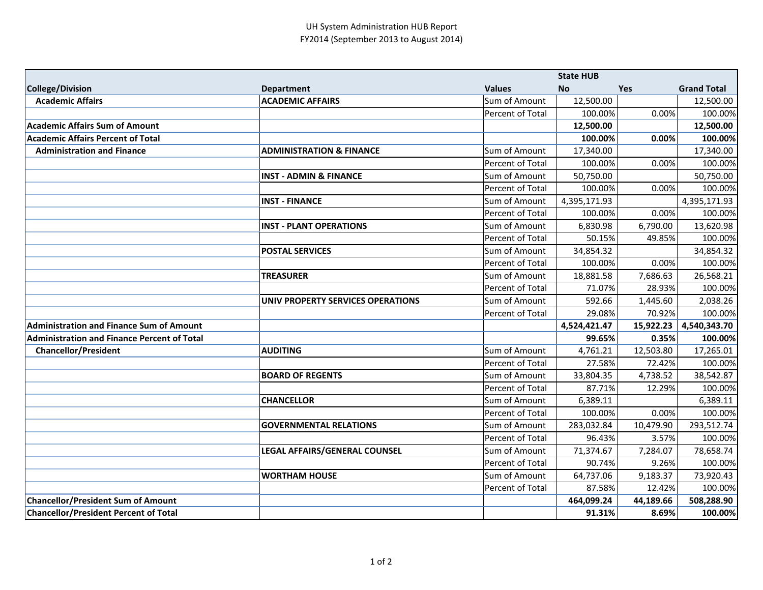## UH System Administration HUB Report FY2014 (September 2013 to August 2014)

|                                                    |                                     |                  | <b>State HUB</b> |           |                    |
|----------------------------------------------------|-------------------------------------|------------------|------------------|-----------|--------------------|
| <b>College/Division</b>                            | <b>Department</b>                   | <b>Values</b>    | No               | Yes       | <b>Grand Total</b> |
| <b>Academic Affairs</b>                            | <b>ACADEMIC AFFAIRS</b>             | Sum of Amount    | 12,500.00        |           | 12,500.00          |
|                                                    |                                     | Percent of Total | 100.00%          | 0.00%     | 100.00%            |
| <b>Academic Affairs Sum of Amount</b>              |                                     |                  | 12,500.00        |           | 12,500.00          |
| <b>Academic Affairs Percent of Total</b>           |                                     |                  | 100.00%          | 0.00%     | 100.00%            |
| <b>Administration and Finance</b>                  | <b>ADMINISTRATION &amp; FINANCE</b> | Sum of Amount    | 17,340.00        |           | 17,340.00          |
|                                                    |                                     | Percent of Total | 100.00%          | 0.00%     | 100.00%            |
|                                                    | <b>INST - ADMIN &amp; FINANCE</b>   | Sum of Amount    | 50,750.00        |           | 50,750.00          |
|                                                    |                                     | Percent of Total | 100.00%          | 0.00%     | 100.00%            |
|                                                    | <b>INST - FINANCE</b>               | Sum of Amount    | 4,395,171.93     |           | 4,395,171.93       |
|                                                    |                                     | Percent of Total | 100.00%          | 0.00%     | 100.00%            |
|                                                    | <b>INST - PLANT OPERATIONS</b>      | Sum of Amount    | 6,830.98         | 6,790.00  | 13,620.98          |
|                                                    |                                     | Percent of Total | 50.15%           | 49.85%    | 100.00%            |
|                                                    | <b>POSTAL SERVICES</b>              | Sum of Amount    | 34,854.32        |           | 34,854.32          |
|                                                    |                                     | Percent of Total | 100.00%          | 0.00%     | 100.00%            |
|                                                    | <b>TREASURER</b>                    | Sum of Amount    | 18,881.58        | 7,686.63  | 26,568.21          |
|                                                    |                                     | Percent of Total | 71.07%           | 28.93%    | 100.00%            |
|                                                    | UNIV PROPERTY SERVICES OPERATIONS   | Sum of Amount    | 592.66           | 1,445.60  | 2,038.26           |
|                                                    |                                     | Percent of Total | 29.08%           | 70.92%    | 100.00%            |
| <b>Administration and Finance Sum of Amount</b>    |                                     |                  | 4,524,421.47     | 15,922.23 | 4,540,343.70       |
| <b>Administration and Finance Percent of Total</b> |                                     |                  | 99.65%           | 0.35%     | 100.00%            |
| <b>Chancellor/President</b>                        | <b>AUDITING</b>                     | Sum of Amount    | 4,761.21         | 12,503.80 | 17,265.01          |
|                                                    |                                     | Percent of Total | 27.58%           | 72.42%    | 100.00%            |
|                                                    | <b>BOARD OF REGENTS</b>             | Sum of Amount    | 33,804.35        | 4,738.52  | 38,542.87          |
|                                                    |                                     | Percent of Total | 87.71%           | 12.29%    | 100.00%            |
|                                                    | <b>CHANCELLOR</b>                   | Sum of Amount    | 6,389.11         |           | 6,389.11           |
|                                                    |                                     | Percent of Total | 100.00%          | 0.00%     | 100.00%            |
|                                                    | <b>GOVERNMENTAL RELATIONS</b>       | Sum of Amount    | 283,032.84       | 10,479.90 | 293,512.74         |
|                                                    |                                     | Percent of Total | 96.43%           | 3.57%     | 100.00%            |
|                                                    | LEGAL AFFAIRS/GENERAL COUNSEL       | Sum of Amount    | 71,374.67        | 7,284.07  | 78,658.74          |
|                                                    |                                     | Percent of Total | 90.74%           | 9.26%     | 100.00%            |
|                                                    | <b>WORTHAM HOUSE</b>                | Sum of Amount    | 64,737.06        | 9,183.37  | 73,920.43          |
|                                                    |                                     | Percent of Total | 87.58%           | 12.42%    | 100.00%            |
| <b>Chancellor/President Sum of Amount</b>          |                                     |                  | 464,099.24       | 44,189.66 | 508,288.90         |
| <b>Chancellor/President Percent of Total</b>       |                                     |                  | 91.31%           | 8.69%     | 100.00%            |